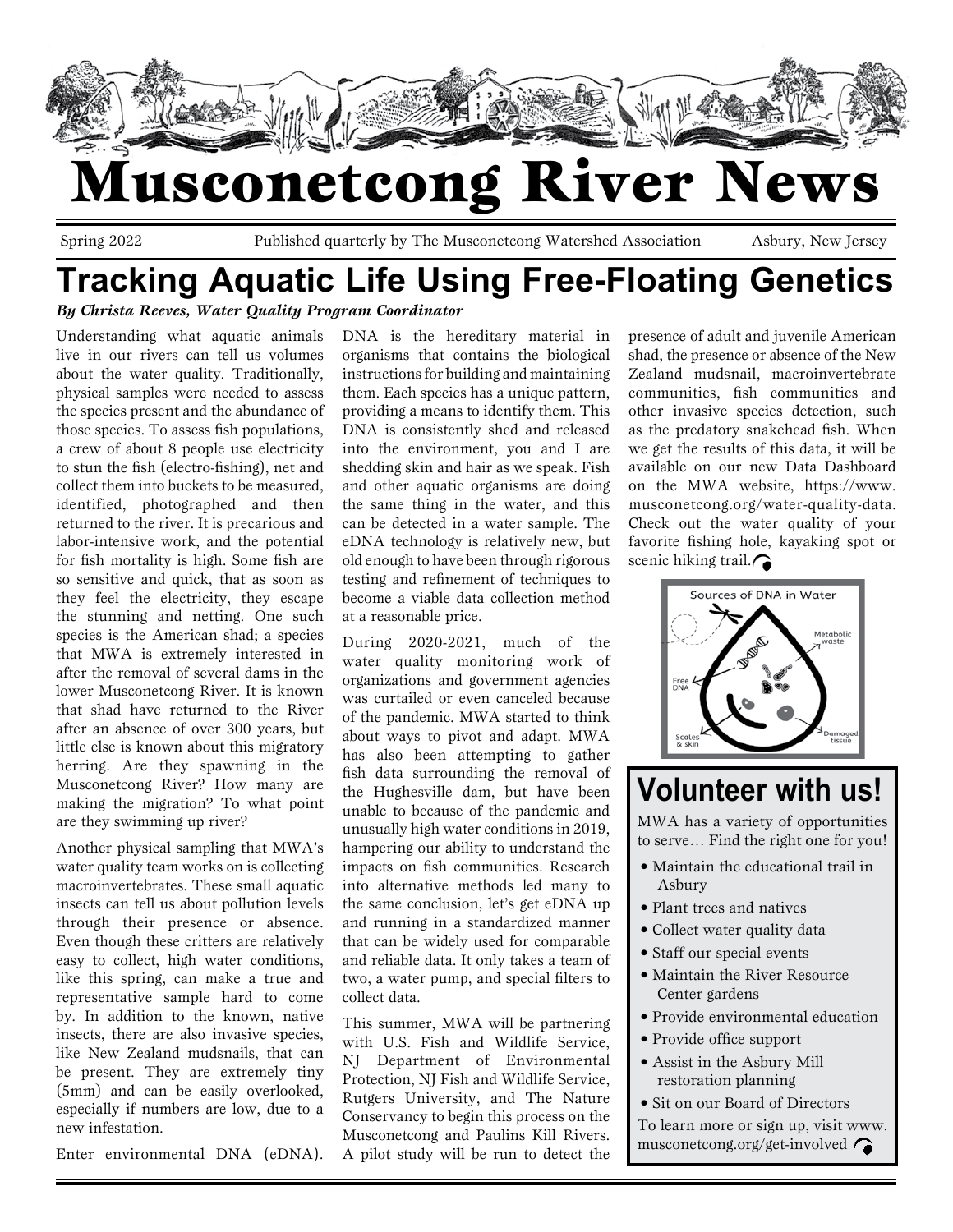

## Musconetcong River News

Spring 2022 Published quarterly by The Musconetcong Watershed Association Asbury, New Jersey

### **Tracking Aquatic Life Using Free-Floating Genetics** *By Christa Reeves, Water Quality Program Coordinator*

Understanding what aquatic animals live in our rivers can tell us volumes about the water quality. Traditionally, physical samples were needed to assess the species present and the abundance of those species. To assess fish populations, a crew of about 8 people use electricity to stun the fish (electro-fishing), net and collect them into buckets to be measured, identified, photographed and then returned to the river. It is precarious and labor-intensive work, and the potential for fish mortality is high. Some fish are so sensitive and quick, that as soon as they feel the electricity, they escape the stunning and netting. One such species is the American shad; a species that MWA is extremely interested in after the removal of several dams in the lower Musconetcong River. It is known that shad have returned to the River after an absence of over 300 years, but little else is known about this migratory herring. Are they spawning in the Musconetcong River? How many are making the migration? To what point are they swimming up river?

Another physical sampling that MWA's water quality team works on is collecting macroinvertebrates. These small aquatic insects can tell us about pollution levels through their presence or absence. Even though these critters are relatively easy to collect, high water conditions, like this spring, can make a true and representative sample hard to come by. In addition to the known, native insects, there are also invasive species, like New Zealand mudsnails, that can be present. They are extremely tiny (5mm) and can be easily overlooked, especially if numbers are low, due to a new infestation.

Enter environmental DNA (eDNA).

DNA is the hereditary material in organisms that contains the biological instructions for building and maintaining them. Each species has a unique pattern, providing a means to identify them. This DNA is consistently shed and released into the environment, you and I are shedding skin and hair as we speak. Fish and other aquatic organisms are doing the same thing in the water, and this can be detected in a water sample. The eDNA technology is relatively new, but old enough to have been through rigorous testing and refinement of techniques to become a viable data collection method at a reasonable price.

During 2020-2021, much of the water quality monitoring work of organizations and government agencies was curtailed or even canceled because of the pandemic. MWA started to think about ways to pivot and adapt. MWA has also been attempting to gather fish data surrounding the removal of the Hughesville dam, but have been unable to because of the pandemic and unusually high water conditions in 2019, hampering our ability to understand the impacts on fish communities. Research into alternative methods led many to the same conclusion, let's get eDNA up and running in a standardized manner that can be widely used for comparable and reliable data. It only takes a team of two, a water pump, and special filters to collect data.

This summer, MWA will be partnering with U.S. Fish and Wildlife Service, NJ Department of Environmental Protection, NJ Fish and Wildlife Service, Rutgers University, and The Nature Conservancy to begin this process on the Musconetcong and Paulins Kill Rivers. A pilot study will be run to detect the presence of adult and juvenile American shad, the presence or absence of the New Zealand mudsnail, macroinvertebrate communities, fish communities and other invasive species detection, such as the predatory snakehead fish. When we get the results of this data, it will be available on our new Data Dashboard on the MWA website, https://www. musconetcong.org/water-quality-data. Check out the water quality of your favorite fishing hole, kayaking spot or scenic hiking trail.



**Volunteer with us!**

MWA has a variety of opportunities to serve… Find the right one for you!

- Maintain the educational trail in Asbury
- Plant trees and natives
- Collect water quality data
- Staff our special events
- Maintain the River Resource Center gardens
- Provide environmental education
- Provide office support
- Assist in the Asbury Mill restoration planning
- Sit on our Board of Directors
- To learn more or sign up, visit www. musconetcong.org/get-involved  $\bigcap$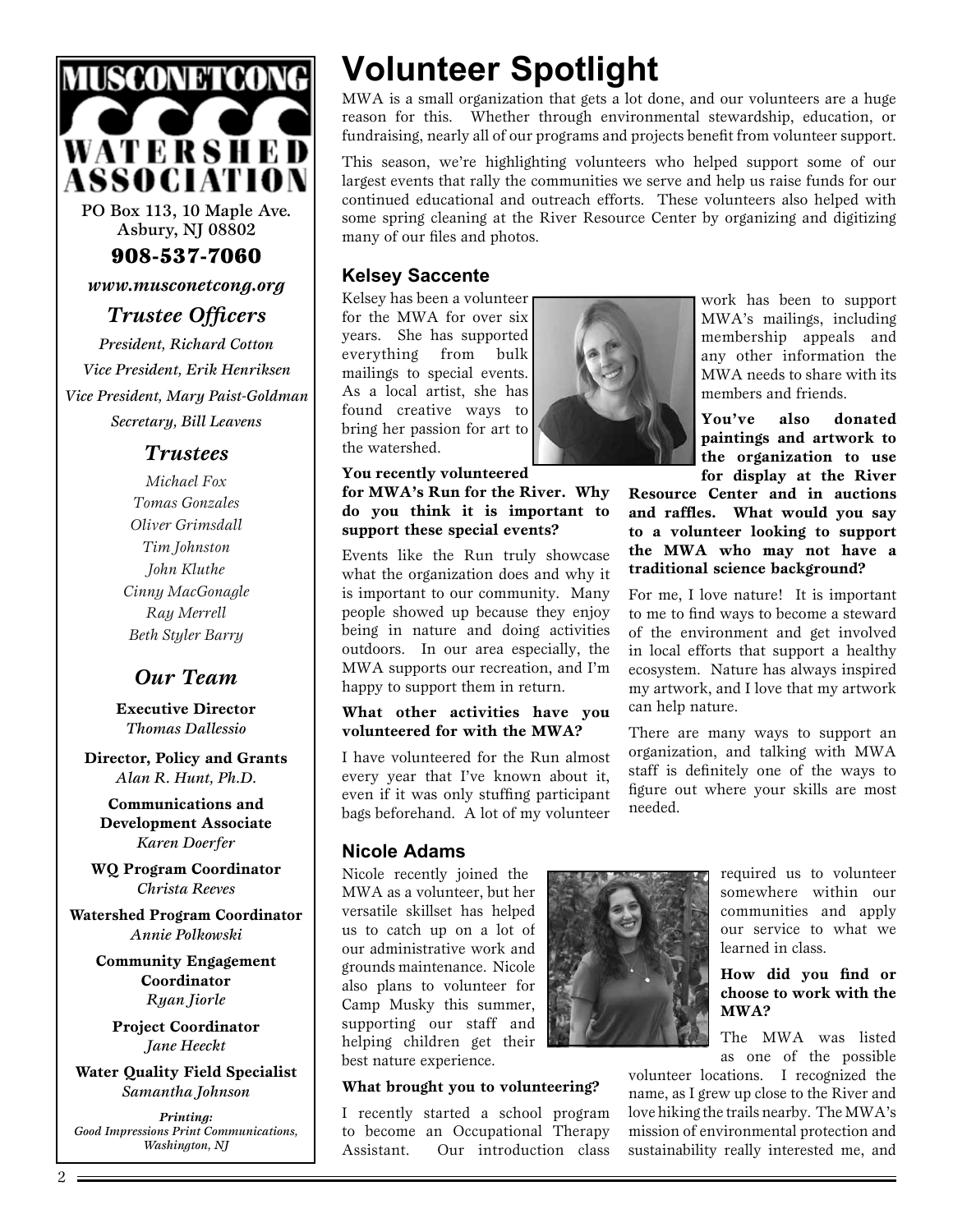

PO Box 113, 10 Maple Ave. Asbury, NJ 08802

908-537-7060

*www.musconetcong.org*

*Trustee Officers*

*President, Richard Cotton Vice President, Erik Henriksen Vice President, Mary Paist-Goldman Secretary, Bill Leavens*

### *Trustees*

*Michael Fox Tomas Gonzales Oliver Grimsdall Tim Johnston John Kluthe Cinny MacGonagle Ray Merrell Beth Styler Barry*

### *Our Team*

**Executive Director** *Thomas Dallessio*

**Director, Policy and Grants** *Alan R. Hunt, Ph.D.*

**Communications and Development Associate** *Karen Doerfer*

**WQ Program Coordinator** *Christa Reeves*

**Watershed Program Coordinator** *Annie Polkowski*

> **Community Engagement Coordinator** *Ryan Jiorle*

**Project Coordinator** *Jane Heeckt*

**Water Quality Field Specialist** *Samantha Johnson*

*Printing: Good Impressions Print Communications, Washington, NJ*

### **Volunteer Spotlight**

MWA is a small organization that gets a lot done, and our volunteers are a huge reason for this. Whether through environmental stewardship, education, or fundraising, nearly all of our programs and projects benefit from volunteer support.

This season, we're highlighting volunteers who helped support some of our largest events that rally the communities we serve and help us raise funds for our continued educational and outreach efforts. These volunteers also helped with some spring cleaning at the River Resource Center by organizing and digitizing many of our files and photos.

### **Kelsey Saccente**

Kelsey has been a volunteer for the MWA for over six years. She has supported everything from bulk mailings to special events. As a local artist, she has found creative ways to bring her passion for art to the watershed.

**You recently volunteered for MWA's Run for the River. Why do you think it is important to support these special events?**

Events like the Run truly showcase what the organization does and why it is important to our community. Many people showed up because they enjoy being in nature and doing activities outdoors. In our area especially, the MWA supports our recreation, and I'm happy to support them in return.

### **What other activities have you volunteered for with the MWA?**

I have volunteered for the Run almost every year that I've known about it, even if it was only stuffing participant bags beforehand. A lot of my volunteer

### **Nicole Adams**

Nicole recently joined the MWA as a volunteer, but her versatile skillset has helped us to catch up on a lot of our administrative work and grounds maintenance. Nicole also plans to volunteer for Camp Musky this summer, supporting our staff and helping children get their best nature experience.

### **What brought you to volunteering?**

I recently started a school program to become an Occupational Therapy Assistant. Our introduction class



required us to volunteer somewhere within our communities and apply our service to what we learned in class.

#### **How did you find or choose to work with the MWA?**

The MWA was listed as one of the possible

volunteer locations. I recognized the name, as I grew up close to the River and love hiking the trails nearby. The MWA's mission of environmental protection and sustainability really interested me, and



work has been to support MWA's mailings, including membership appeals and any other information the MWA needs to share with its members and friends.

**You've also donated paintings and artwork to the organization to use for display at the River** 

**Resource Center and in auctions and raffles. What would you say to a volunteer looking to support the MWA who may not have a traditional science background?**

For me, I love nature! It is important to me to find ways to become a steward of the environment and get involved in local efforts that support a healthy ecosystem. Nature has always inspired my artwork, and I love that my artwork can help nature.

There are many ways to support an organization, and talking with MWA staff is definitely one of the ways to figure out where your skills are most needed.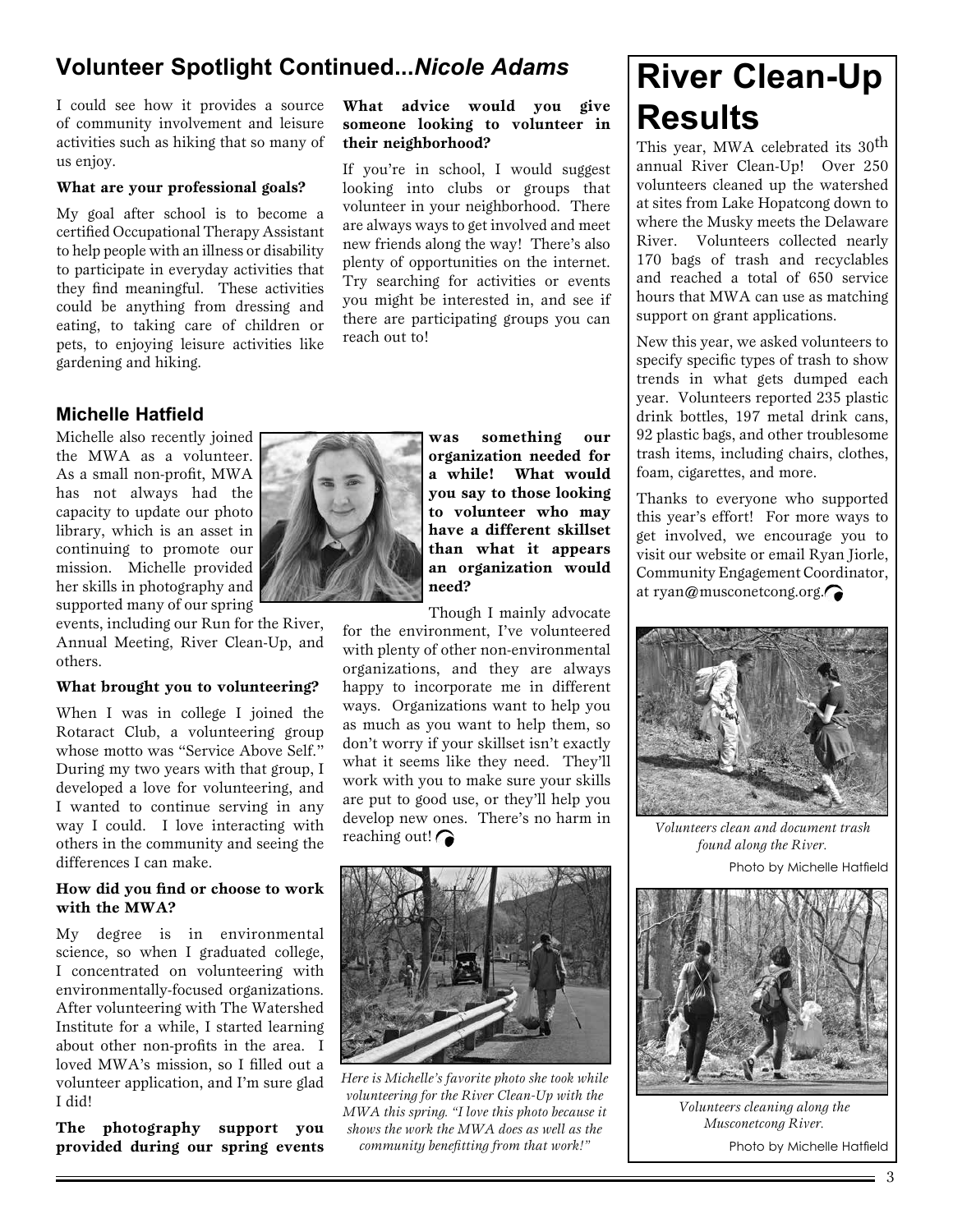### **Volunteer Spotlight Continued...***Nicole Adams*

I could see how it provides a source of community involvement and leisure activities such as hiking that so many of us enjoy.

### **What are your professional goals?**

My goal after school is to become a certified Occupational Therapy Assistant to help people with an illness or disability to participate in everyday activities that they find meaningful. These activities could be anything from dressing and eating, to taking care of children or pets, to enjoying leisure activities like gardening and hiking.

### **Michelle Hatfield**

Michelle also recently joined the MWA as a volunteer. As a small non-profit, MWA has not always had the capacity to update our photo library, which is an asset in continuing to promote our mission. Michelle provided her skills in photography and supported many of our spring

events, including our Run for the River, Annual Meeting, River Clean-Up, and others.

#### **What brought you to volunteering?**

When I was in college I joined the Rotaract Club, a volunteering group whose motto was "Service Above Self." During my two years with that group, I developed a love for volunteering, and I wanted to continue serving in any way I could. I love interacting with others in the community and seeing the differences I can make.

#### **How did you find or choose to work with the MWA?**

My degree is in environmental science, so when I graduated college, I concentrated on volunteering with environmentally-focused organizations. After volunteering with The Watershed Institute for a while, I started learning about other non-profits in the area. I loved MWA's mission, so I filled out a volunteer application, and I'm sure glad I did!

**The photography support you provided during our spring events** 

#### **What advice would you give someone looking to volunteer in their neighborhood?**

If you're in school, I would suggest looking into clubs or groups that volunteer in your neighborhood. There are always ways to get involved and meet new friends along the way! There's also plenty of opportunities on the internet. Try searching for activities or events you might be interested in, and see if there are participating groups you can reach out to!



**was something our organization needed for a while! What would you say to those looking to volunteer who may have a different skillset than what it appears an organization would need?**

Though I mainly advocate

for the environment, I've volunteered with plenty of other non-environmental organizations, and they are always happy to incorporate me in different ways. Organizations want to help you as much as you want to help them, so don't worry if your skillset isn't exactly what it seems like they need. They'll work with you to make sure your skills are put to good use, or they'll help you develop new ones. There's no harm in reaching out! $\bigcap$ 



*Here is Michelle's favorite photo she took while volunteering for the River Clean-Up with the MWA this spring. "I love this photo because it shows the work the MWA does as well as the community benefitting from that work!"*

### **River Clean-Up Results**

This year, MWA celebrated its 30<sup>th</sup> annual River Clean-Up! Over 250 volunteers cleaned up the watershed at sites from Lake Hopatcong down to where the Musky meets the Delaware River. Volunteers collected nearly 170 bags of trash and recyclables and reached a total of 650 service hours that MWA can use as matching support on grant applications.

New this year, we asked volunteers to specify specific types of trash to show trends in what gets dumped each year. Volunteers reported 235 plastic drink bottles, 197 metal drink cans, 92 plastic bags, and other troublesome trash items, including chairs, clothes, foam, cigarettes, and more.

Thanks to everyone who supported this year's effort! For more ways to get involved, we encourage you to visit our website or email Ryan Jiorle, Community Engagement Coordinator, at ryan@musconetcong.org.



*Volunteers clean and document trash found along the River.*

Photo by Michelle Hatfield



*Volunteers cleaning along the Musconetcong River.* Photo by Michelle Hatfield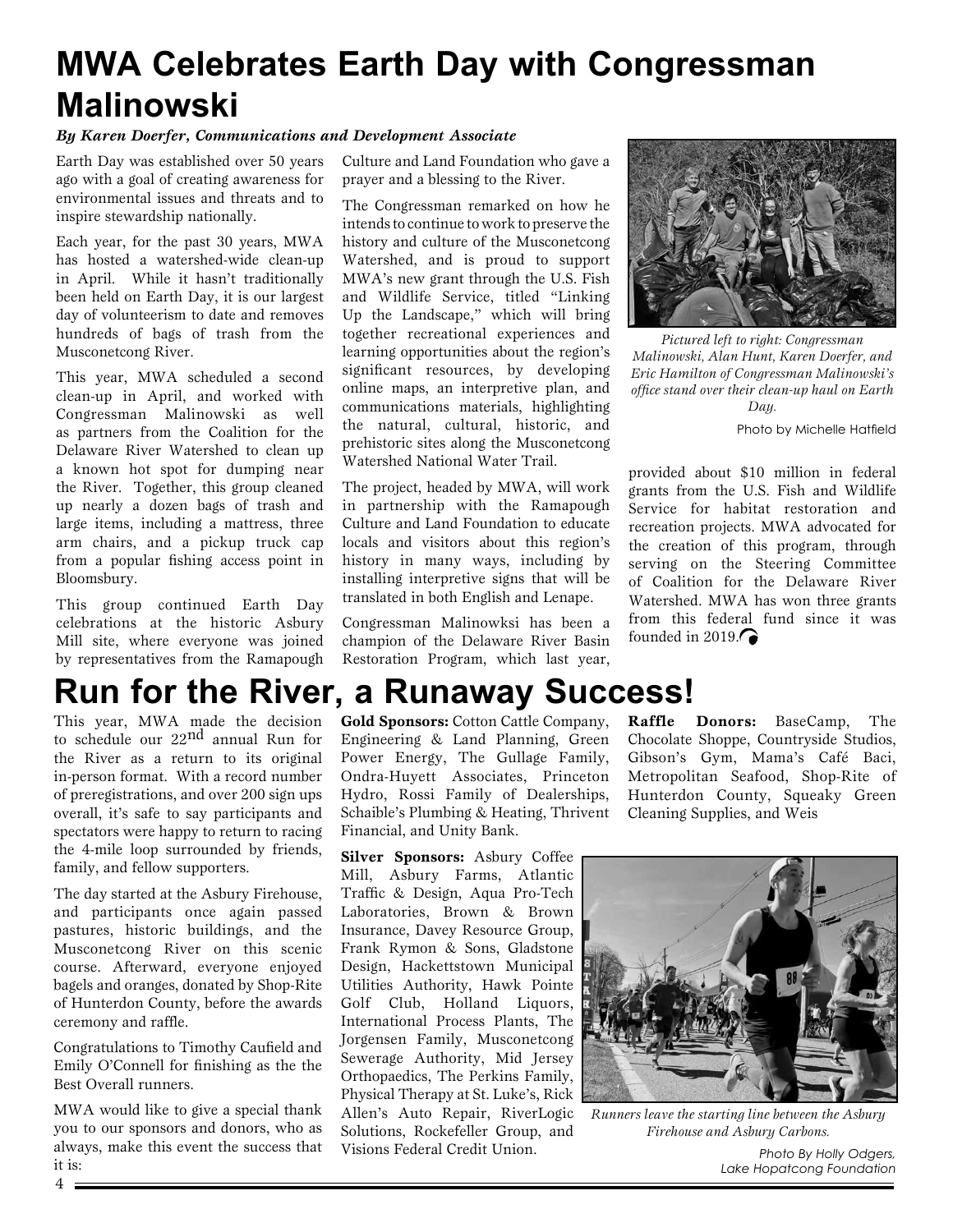### **MWA Celebrates Earth Day with Congressman Malinowski**

#### *By Karen Doerfer, Communications and Development Associate*

Earth Day was established over 50 years ago with a goal of creating awareness for environmental issues and threats and to inspire stewardship nationally.

Each year, for the past 30 years, MWA has hosted a watershed-wide clean-up in April. While it hasn't traditionally been held on Earth Day, it is our largest day of volunteerism to date and removes hundreds of bags of trash from the Musconetcong River.

This year, MWA scheduled a second clean-up in April, and worked with Congressman Malinowski as well as partners from the Coalition for the Delaware River Watershed to clean up a known hot spot for dumping near the River. Together, this group cleaned up nearly a dozen bags of trash and large items, including a mattress, three arm chairs, and a pickup truck cap from a popular fishing access point in Bloomsbury.

This group continued Earth Day celebrations at the historic Asbury Mill site, where everyone was joined by representatives from the Ramapough

Culture and Land Foundation who gave a prayer and a blessing to the River.

The Congressman remarked on how he intends to continue to work to preserve the history and culture of the Musconetcong Watershed, and is proud to support MWA's new grant through the U.S. Fish and Wildlife Service, titled "Linking Up the Landscape," which will bring together recreational experiences and learning opportunities about the region's significant resources, by developing online maps, an interpretive plan, and communications materials, highlighting the natural, cultural, historic, and prehistoric sites along the Musconetcong Watershed National Water Trail.

The project, headed by MWA, will work in partnership with the Ramapough Culture and Land Foundation to educate locals and visitors about this region's history in many ways, including by installing interpretive signs that will be translated in both English and Lenape.

Congressman Malinowksi has been a champion of the Delaware River Basin Restoration Program, which last year,



*Pictured left to right: Congressman Malinowski, Alan Hunt, Karen Doerfer, and Eric Hamilton of Congressman Malinowski's office stand over their clean-up haul on Earth Day.* 

Photo by Michelle Hatfield

provided about \$10 million in federal grants from the U.S. Fish and Wildlife Service for habitat restoration and recreation projects. MWA advocated for the creation of this program, through serving on the Steering Committee of Coalition for the Delaware River Watershed. MWA has won three grants from this federal fund since it was founded in 2019.

### **Run for the River, a Runaway Success!**

This year, MWA made the decision to schedule our 22nd annual Run for the River as a return to its original in-person format. With a record number of preregistrations, and over 200 sign ups overall, it's safe to say participants and spectators were happy to return to racing the 4-mile loop surrounded by friends, family, and fellow supporters.

The day started at the Asbury Firehouse, and participants once again passed pastures, historic buildings, and the Musconetcong River on this scenic course. Afterward, everyone enjoyed bagels and oranges, donated by Shop-Rite of Hunterdon County, before the awards ceremony and raffle.

Congratulations to Timothy Caufield and Emily O'Connell for finishing as the the Best Overall runners.

MWA would like to give a special thank you to our sponsors and donors, who as always, make this event the success that it is:

**Gold Sponsors:** Cotton Cattle Company, Engineering & Land Planning, Green Power Energy, The Gullage Family, Ondra-Huyett Associates, Princeton Hydro, Rossi Family of Dealerships, Schaible's Plumbing & Heating, Thrivent Financial, and Unity Bank.

**Silver Sponsors:** Asbury Coffee Mill, Asbury Farms, Atlantic Traffic & Design, Aqua Pro-Tech Laboratories, Brown & Brown Insurance, Davey Resource Group, Frank Rymon & Sons, Gladstone Design, Hackettstown Municipal Utilities Authority, Hawk Pointe Golf Club, Holland Liquors, International Process Plants, The Jorgensen Family, Musconetcong Sewerage Authority, Mid Jersey Orthopaedics, The Perkins Family, Physical Therapy at St. Luke's, Rick Allen's Auto Repair, RiverLogic Solutions, Rockefeller Group, and Visions Federal Credit Union.

**Raffle Donors:** BaseCamp, The Chocolate Shoppe, Countryside Studios, Gibson's Gym, Mama's Café Baci, Metropolitan Seafood, Shop-Rite of Hunterdon County, Squeaky Green Cleaning Supplies, and Weis



*Runners leave the starting line between the Asbury Firehouse and Asbury Carbons.*

*Photo By Holly Odgers, Lake Hopatcong Foundation*

 $4 =$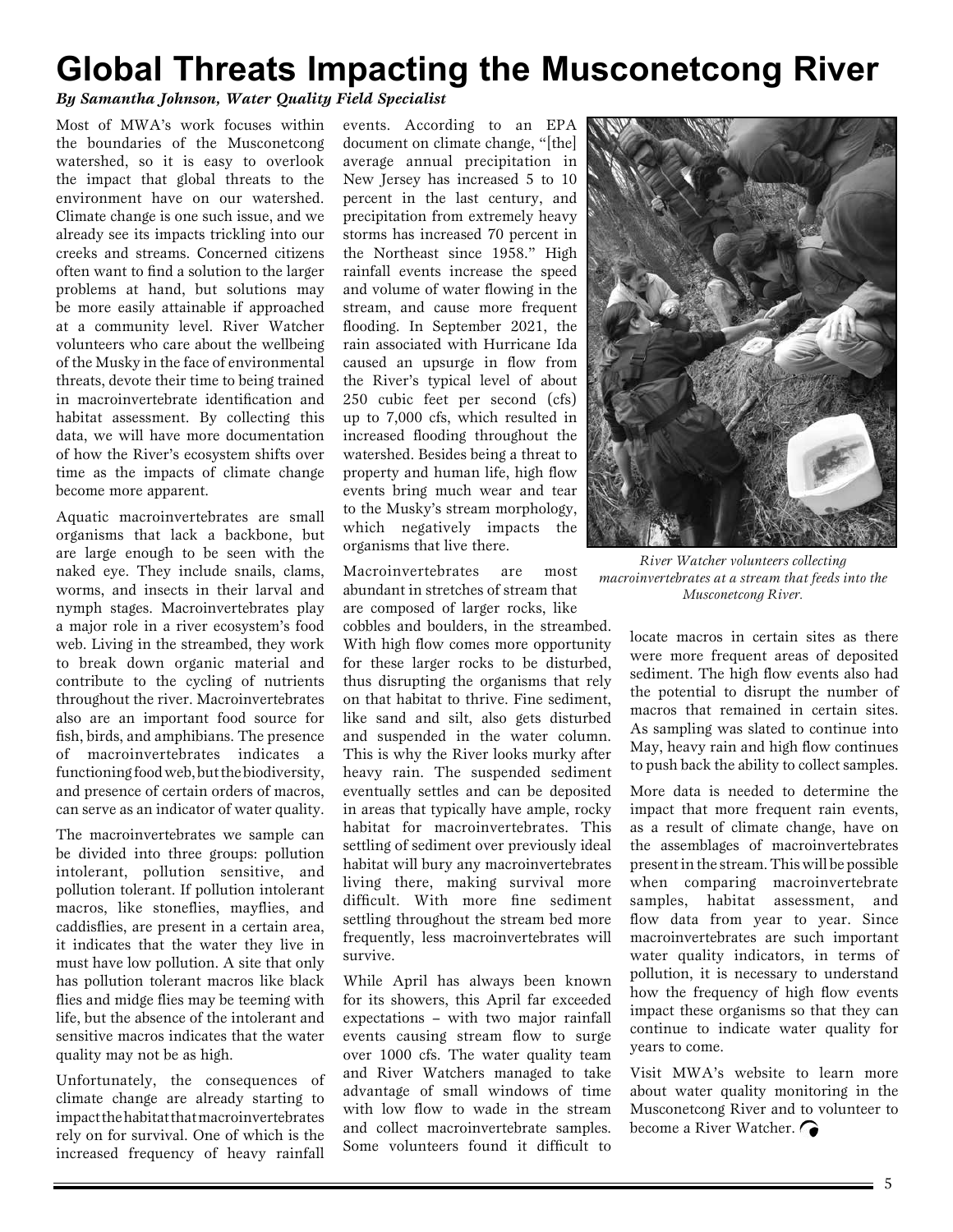### **Global Threats Impacting the Musconetcong River**

### *By Samantha Johnson, Water Quality Field Specialist*

Most of MWA's work focuses within the boundaries of the Musconetcong watershed, so it is easy to overlook the impact that global threats to the environment have on our watershed. Climate change is one such issue, and we already see its impacts trickling into our creeks and streams. Concerned citizens often want to find a solution to the larger problems at hand, but solutions may be more easily attainable if approached at a community level. River Watcher volunteers who care about the wellbeing of the Musky in the face of environmental threats, devote their time to being trained in macroinvertebrate identification and habitat assessment. By collecting this data, we will have more documentation of how the River's ecosystem shifts over time as the impacts of climate change become more apparent.

Aquatic macroinvertebrates are small organisms that lack a backbone, but are large enough to be seen with the naked eye. They include snails, clams, worms, and insects in their larval and nymph stages. Macroinvertebrates play a major role in a river ecosystem's food web. Living in the streambed, they work to break down organic material and contribute to the cycling of nutrients throughout the river. Macroinvertebrates also are an important food source for fish, birds, and amphibians. The presence of macroinvertebrates indicates a functioning food web, but the biodiversity, and presence of certain orders of macros, can serve as an indicator of water quality.

The macroinvertebrates we sample can be divided into three groups: pollution intolerant, pollution sensitive, and pollution tolerant. If pollution intolerant macros, like stoneflies, mayflies, and caddisflies, are present in a certain area, it indicates that the water they live in must have low pollution. A site that only has pollution tolerant macros like black flies and midge flies may be teeming with life, but the absence of the intolerant and sensitive macros indicates that the water quality may not be as high.

Unfortunately, the consequences of climate change are already starting to impact the habitat that macroinvertebrates rely on for survival. One of which is the increased frequency of heavy rainfall events. According to an EPA document on climate change, "[the] average annual precipitation in New Jersey has increased 5 to 10 percent in the last century, and precipitation from extremely heavy storms has increased 70 percent in the Northeast since 1958." High rainfall events increase the speed and volume of water flowing in the stream, and cause more frequent flooding. In September 2021, the rain associated with Hurricane Ida caused an upsurge in flow from the River's typical level of about 250 cubic feet per second (cfs) up to 7,000 cfs, which resulted in increased flooding throughout the watershed. Besides being a threat to property and human life, high flow events bring much wear and tear to the Musky's stream morphology, which negatively impacts the organisms that live there.

Macroinvertebrates are most abundant in stretches of stream that are composed of larger rocks, like cobbles and boulders, in the streambed.

With high flow comes more opportunity for these larger rocks to be disturbed, thus disrupting the organisms that rely on that habitat to thrive. Fine sediment, like sand and silt, also gets disturbed and suspended in the water column. This is why the River looks murky after heavy rain. The suspended sediment eventually settles and can be deposited in areas that typically have ample, rocky habitat for macroinvertebrates. This settling of sediment over previously ideal habitat will bury any macroinvertebrates living there, making survival more difficult. With more fine sediment settling throughout the stream bed more frequently, less macroinvertebrates will survive.

While April has always been known for its showers, this April far exceeded expectations – with two major rainfall events causing stream flow to surge over 1000 cfs. The water quality team and River Watchers managed to take advantage of small windows of time with low flow to wade in the stream and collect macroinvertebrate samples. Some volunteers found it difficult to



*River Watcher volunteers collecting macroinvertebrates at a stream that feeds into the Musconetcong River.*

locate macros in certain sites as there were more frequent areas of deposited sediment. The high flow events also had the potential to disrupt the number of macros that remained in certain sites. As sampling was slated to continue into May, heavy rain and high flow continues to push back the ability to collect samples.

More data is needed to determine the impact that more frequent rain events. as a result of climate change, have on the assemblages of macroinvertebrates present in the stream. This will be possible when comparing macroinvertebrate samples, habitat assessment, and flow data from year to year. Since macroinvertebrates are such important water quality indicators, in terms of pollution, it is necessary to understand how the frequency of high flow events impact these organisms so that they can continue to indicate water quality for years to come.

Visit MWA's website to learn more about water quality monitoring in the Musconetcong River and to volunteer to become a River Watcher.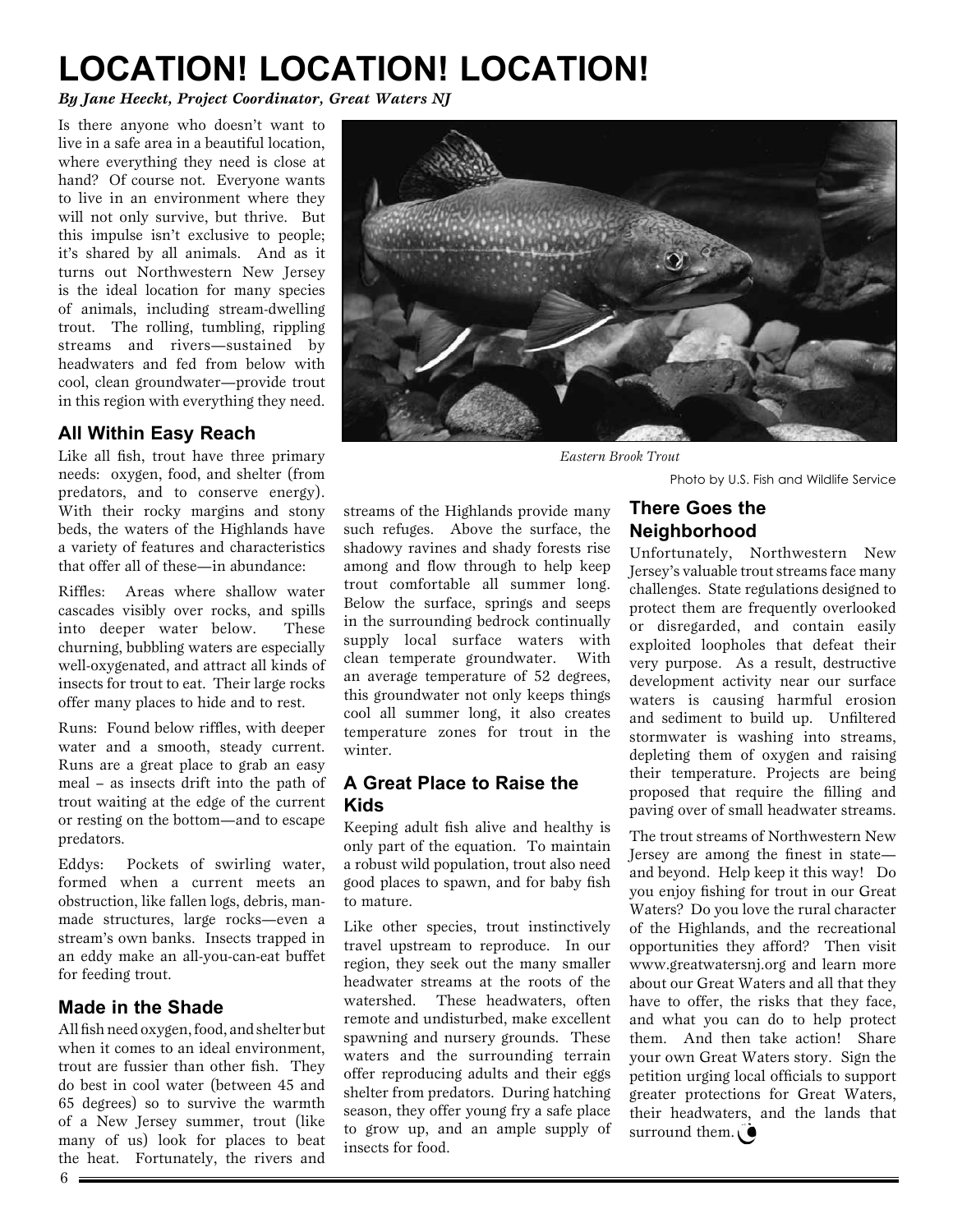### **LOCATION! LOCATION! LOCATION!**

*By Jane Heeckt, Project Coordinator, Great Waters NJ*

Is there anyone who doesn't want to live in a safe area in a beautiful location, where everything they need is close at hand? Of course not. Everyone wants to live in an environment where they will not only survive, but thrive. But this impulse isn't exclusive to people; it's shared by all animals. And as it turns out Northwestern New Jersey is the ideal location for many species of animals, including stream-dwelling trout. The rolling, tumbling, rippling streams and rivers—sustained by headwaters and fed from below with cool, clean groundwater—provide trout in this region with everything they need.

### **All Within Easy Reach**

Like all fish, trout have three primary needs: oxygen, food, and shelter (from predators, and to conserve energy). With their rocky margins and stony beds, the waters of the Highlands have a variety of features and characteristics that offer all of these—in abundance:

Riffles: Areas where shallow water cascades visibly over rocks, and spills into deeper water below. These churning, bubbling waters are especially well-oxygenated, and attract all kinds of insects for trout to eat. Their large rocks offer many places to hide and to rest.

Runs: Found below riffles, with deeper water and a smooth, steady current. Runs are a great place to grab an easy meal – as insects drift into the path of trout waiting at the edge of the current or resting on the bottom—and to escape predators.

Eddys: Pockets of swirling water, formed when a current meets an obstruction, like fallen logs, debris, manmade structures, large rocks—even a stream's own banks. Insects trapped in an eddy make an all-you-can-eat buffet for feeding trout.

### **Made in the Shade**

All fish need oxygen, food, and shelter but when it comes to an ideal environment, trout are fussier than other fish. They do best in cool water (between 45 and 65 degrees) so to survive the warmth of a New Jersey summer, trout (like many of us) look for places to beat the heat. Fortunately, the rivers and



*Eastern Brook Trout*

**There Goes the Neighborhood**

Photo by U.S. Fish and Wildlife Service

#### streams of the Highlands provide many such refuges. Above the surface, the shadowy ravines and shady forests rise among and flow through to help keep trout comfortable all summer long. Below the surface, springs and seeps in the surrounding bedrock continually supply local surface waters with clean temperate groundwater. With an average temperature of 52 degrees, this groundwater not only keeps things cool all summer long, it also creates temperature zones for trout in the winter.

### **A Great Place to Raise the Kids**

Keeping adult fish alive and healthy is only part of the equation. To maintain a robust wild population, trout also need good places to spawn, and for baby fish to mature.

Like other species, trout instinctively travel upstream to reproduce. In our region, they seek out the many smaller headwater streams at the roots of the watershed. These headwaters, often remote and undisturbed, make excellent spawning and nursery grounds. These waters and the surrounding terrain offer reproducing adults and their eggs shelter from predators. During hatching season, they offer young fry a safe place to grow up, and an ample supply of insects for food.

#### Unfortunately, Northwestern New Jersey's valuable trout streams face many challenges. State regulations designed to protect them are frequently overlooked or disregarded, and contain easily exploited loopholes that defeat their very purpose. As a result, destructive development activity near our surface waters is causing harmful erosion and sediment to build up. Unfiltered stormwater is washing into streams, depleting them of oxygen and raising their temperature. Projects are being proposed that require the filling and paving over of small headwater streams.

The trout streams of Northwestern New Jersey are among the finest in state and beyond. Help keep it this way! Do you enjoy fishing for trout in our Great Waters? Do you love the rural character of the Highlands, and the recreational opportunities they afford? Then visit www.greatwatersnj.org and learn more about our Great Waters and all that they have to offer, the risks that they face, and what you can do to help protect them. And then take action! Share your own Great Waters story. Sign the petition urging local officials to support greater protections for Great Waters, their headwaters, and the lands that surround them.  $\hat{\bullet}$ 

 $6 =$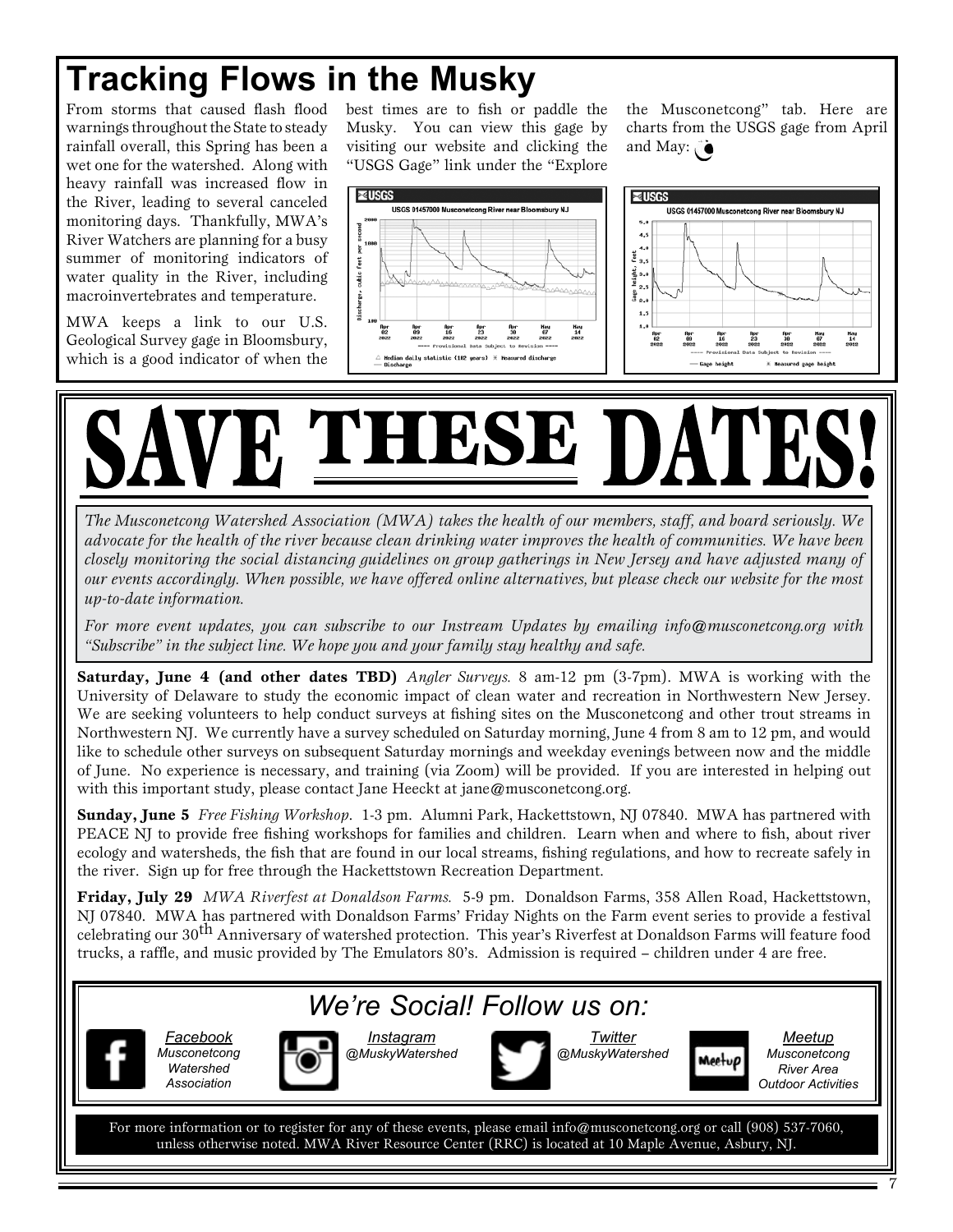### **Tracking Flows in the Musky**

feet

ä

From storms that caused flash flood warnings throughout the State to steady rainfall overall, this Spring has been a wet one for the watershed. Along with heavy rainfall was increased flow in the River, leading to several canceled monitoring days. Thankfully, MWA's River Watchers are planning for a busy summer of monitoring indicators of water quality in the River, including macroinvertebrates and temperature.

MWA keeps a link to our U.S. Geological Survey gage in Bloomsbury, which is a good indicator of when the best times are to fish or paddle the Musky. You can view this gage by visiting our website and clicking the "USGS Gage" link under the "Explore

the Musconetcong" tab. Here are charts from the USGS gage from April and May: 0



# **THESE D**

*The Musconetcong Watershed Association (MWA) takes the health of our members, staff, and board seriously. We advocate for the health of the river because clean drinking water improves the health of communities. We have been closely monitoring the social distancing guidelines on group gatherings in New Jersey and have adjusted many of our events accordingly. When possible, we have offered online alternatives, but please check our website for the most up-to-date information.*

*For more event updates, you can subscribe to our Instream Updates by emailing info@musconetcong.org with "Subscribe" in the subject line. We hope you and your family stay healthy and safe.*

**Saturday, June 4 (and other dates TBD)** *Angler Surveys.* 8 am-12 pm (3-7pm). MWA is working with the University of Delaware to study the economic impact of clean water and recreation in Northwestern New Jersey. We are seeking volunteers to help conduct surveys at fishing sites on the Musconetcong and other trout streams in Northwestern NJ. We currently have a survey scheduled on Saturday morning, June 4 from 8 am to 12 pm, and would like to schedule other surveys on subsequent Saturday mornings and weekday evenings between now and the middle of June. No experience is necessary, and training (via Zoom) will be provided. If you are interested in helping out with this important study, please contact Jane Heeckt at jane@musconetcong.org.

**Sunday, June 5** *Free Fishing Workshop*. 1-3 pm. Alumni Park, Hackettstown, NJ 07840. MWA has partnered with PEACE NJ to provide free fishing workshops for families and children. Learn when and where to fish, about river ecology and watersheds, the fish that are found in our local streams, fishing regulations, and how to recreate safely in the river. Sign up for free through the Hackettstown Recreation Department.

**Friday, July 29** *MWA Riverfest at Donaldson Farms.* 5-9 pm. Donaldson Farms, 358 Allen Road, Hackettstown, NJ 07840. MWA has partnered with Donaldson Farms' Friday Nights on the Farm event series to provide a festival celebrating our 30<sup>th</sup> Anniversary of watershed protection. This year's Riverfest at Donaldson Farms will feature food trucks, a raffle, and music provided by The Emulators 80's. Admission is required – children under 4 are free.